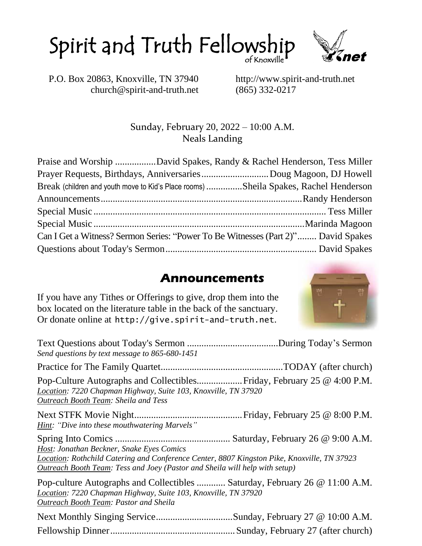



P.O. Box 20863, Knoxville, TN 37940 http://www.spirit-and-truth.net church@spirit-and-truth.net (865) 332-0217

#### Sunday, February 20, 2022 – 10:00 A.M. Neals Landing

|  | Praise and Worship David Spakes, Randy & Rachel Henderson, Tess Miller               |  |
|--|--------------------------------------------------------------------------------------|--|
|  |                                                                                      |  |
|  | Break (children and youth move to Kid's Place rooms) Sheila Spakes, Rachel Henderson |  |
|  |                                                                                      |  |
|  |                                                                                      |  |
|  |                                                                                      |  |
|  | Can I Get a Witness? Sermon Series: "Power To Be Witnesses (Part 2)" David Spakes    |  |
|  |                                                                                      |  |

#### **Announcements**

If you have any Tithes or Offerings to give, drop them into the box located on the literature table in the back of the sanctuary. Or donate online at http://give.spirit-and-truth.net.



| Send questions by text message to 865-680-1451                                                                                                                                                                                 |  |
|--------------------------------------------------------------------------------------------------------------------------------------------------------------------------------------------------------------------------------|--|
|                                                                                                                                                                                                                                |  |
| Location: 7220 Chapman Highway, Suite 103, Knoxville, TN 37920<br><b>Outreach Booth Team: Sheila and Tess</b>                                                                                                                  |  |
| Hint: "Dive into these mouthwatering Marvels"                                                                                                                                                                                  |  |
| Host: Jonathan Beckner, Snake Eyes Comics<br>Location: Rothchild Catering and Conference Center, 8807 Kingston Pike, Knoxville, TN 37923<br><b>Outreach Booth Team: Tess and Joey (Pastor and Sheila will help with setup)</b> |  |
| Pop-culture Autographs and Collectibles  Saturday, February 26 @ 11:00 A.M.<br>Location: 7220 Chapman Highway, Suite 103, Knoxville, TN 37920<br><b>Outreach Booth Team: Pastor and Sheila</b>                                 |  |
| Next Monthly Singing ServiceSunday, February 27 @ 10:00 A.M.                                                                                                                                                                   |  |

Fellowship Dinner....................................................Sunday, February 27 (after church)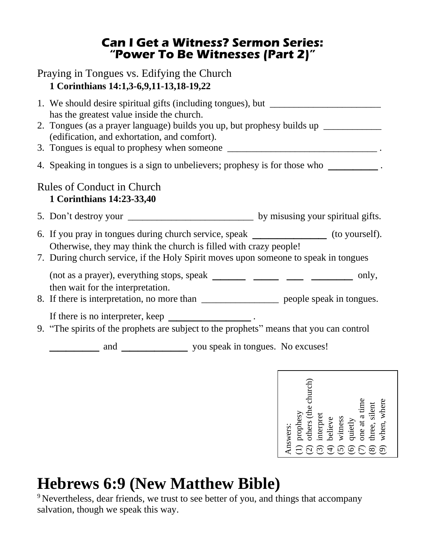#### **Can I Get a Witness? Sermon Series: "Power To Be Witnesses (Part 2)"**

#### Praying in Tongues vs. Edifying the Church **1 Corinthians 14:1,3-6,9,11-13,18-19,22**

| 1. We should desire spiritual gifts (including tongues), but ___________________<br>has the greatest value inside the church.<br>2. Tongues (as a prayer language) builds you up, but prophesy builds up _________<br>(edification, and exhortation, and comfort). |  |  |
|--------------------------------------------------------------------------------------------------------------------------------------------------------------------------------------------------------------------------------------------------------------------|--|--|
| 4. Speaking in tongues is a sign to unbelievers; prophesy is for those who                                                                                                                                                                                         |  |  |
| <b>Rules of Conduct in Church</b><br>1 Corinthians 14:23-33,40                                                                                                                                                                                                     |  |  |
|                                                                                                                                                                                                                                                                    |  |  |
| 6. If you pray in tongues during church service, speak _________________(to yourself).<br>Otherwise, they may think the church is filled with crazy people!<br>7. During church service, if the Holy Spirit moves upon some ne to speak in tongues                 |  |  |
| then wait for the interpretation.<br>8. If there is interpretation, no more than ________________________ people speak in tongues.                                                                                                                                 |  |  |
| If there is no interpreter, keep _______________________.<br>9. "The spirits of the prophets are subject to the prophets" means that you can control                                                                                                               |  |  |
|                                                                                                                                                                                                                                                                    |  |  |



# **Hebrews 6:9 (New Matthew Bible)**

<sup>9</sup> Nevertheless, dear friends, we trust to see better of you, and things that accompany salvation, though we speak this way.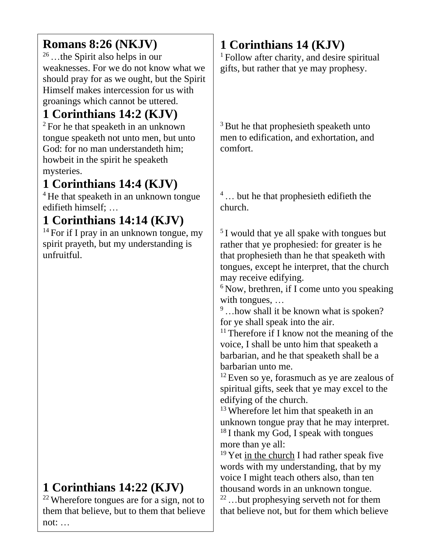## **Romans 8:26 (NKJV)**

<sup>26</sup>…the Spirit also helps in our weaknesses. For we do not know what we should pray for as we ought, but the Spirit Himself makes intercession for us with groanings which cannot be uttered.

# **1 Corinthians 14:2 (KJV)**

<sup>2</sup> For he that speaketh in an unknown tongue speaketh not unto men, but unto God: for no man understandeth him; howbeit in the spirit he speaketh mysteries.

## **1 Corinthians 14:4 (KJV)**

<sup>4</sup> He that speaketh in an unknown tongue edifieth himself; …

# **1 Corinthians 14:14 (KJV)**

<sup>14</sup> For if I pray in an unknown tongue, my spirit prayeth, but my understanding is unfruitful.

## **1 Corinthians 14:22 (KJV)**

<sup>22</sup> Wherefore tongues are for a sign, not to them that believe, but to them that believe not: …

# **1 Corinthians 14 (KJV)**

<sup>1</sup> Follow after charity, and desire spiritual gifts, but rather that ye may prophesy.

<sup>3</sup> But he that prophesieth speaketh unto men to edification, and exhortation, and comfort.

<sup>4</sup> ... but he that prophesieth edifieth the church.

<sup>5</sup> I would that ye all spake with tongues but rather that ye prophesied: for greater is he that prophesieth than he that speaketh with tongues, except he interpret, that the church may receive edifying.

 $6$  Now, brethren, if I come unto you speaking with tongues, …

<sup>9</sup>...how shall it be known what is spoken? for ye shall speak into the air.

<sup>11</sup> Therefore if I know not the meaning of the voice, I shall be unto him that speaketh a barbarian, and he that speaketh shall be a barbarian unto me.

<sup>12</sup> Even so ye, forasmuch as ye are zealous of spiritual gifts, seek that ye may excel to the edifying of the church.

<sup>13</sup> Wherefore let him that speaketh in an unknown tongue pray that he may interpret. <sup>18</sup> I thank my God, I speak with tongues more than ye all:

 $19$  Yet in the church I had rather speak five words with my understanding, that by my voice I might teach others also, than ten thousand words in an unknown tongue.

<sup>22</sup>…but prophesying serveth not for them that believe not, but for them which believe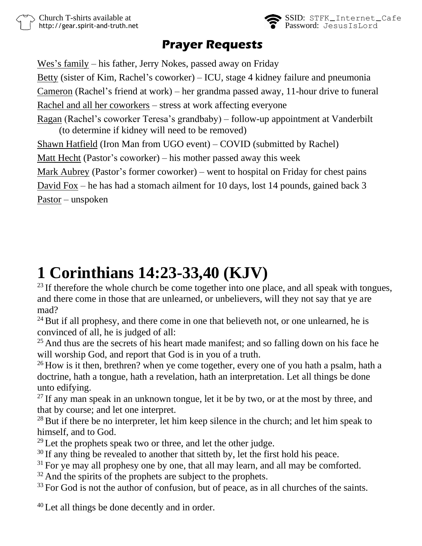

## **Prayer Requests**

Wes's family – his father, Jerry Nokes, passed away on Friday Betty (sister of Kim, Rachel's coworker) – ICU, stage 4 kidney failure and pneumonia Cameron (Rachel's friend at work) – her grandma passed away, 11-hour drive to funeral Rachel and all her coworkers – stress at work affecting everyone Ragan (Rachel's coworker Teresa's grandbaby) – follow-up appointment at Vanderbilt (to determine if kidney will need to be removed) Shawn Hatfield (Iron Man from UGO event) – COVID (submitted by Rachel) Matt Hecht (Pastor's coworker) – his mother passed away this week Mark Aubrey (Pastor's former coworker) – went to hospital on Friday for chest pains David Fox – he has had a stomach ailment for 10 days, lost 14 pounds, gained back 3 Pastor – unspoken

# **1 Corinthians 14:23-33,40 (KJV)**

 $^{23}$  If therefore the whole church be come together into one place, and all speak with tongues, and there come in those that are unlearned, or unbelievers, will they not say that ye are mad?

 $24$  But if all prophesy, and there come in one that believeth not, or one unlearned, he is convinced of all, he is judged of all:

 $25$  And thus are the secrets of his heart made manifest; and so falling down on his face he will worship God, and report that God is in you of a truth.

 $26$  How is it then, brethren? when ye come together, every one of you hath a psalm, hath a doctrine, hath a tongue, hath a revelation, hath an interpretation. Let all things be done unto edifying.

 $^{27}$  If any man speak in an unknown tongue, let it be by two, or at the most by three, and that by course; and let one interpret.

 $^{28}$  But if there be no interpreter, let him keep silence in the church; and let him speak to himself, and to God.

 $^{29}$  Let the prophets speak two or three, and let the other judge.

 $30$  If any thing be revealed to another that sitteth by, let the first hold his peace.

 $31$  For ye may all prophesy one by one, that all may learn, and all may be comforted.

 $32$  And the spirits of the prophets are subject to the prophets.

 $33$  For God is not the author of confusion, but of peace, as in all churches of the saints.

<sup>40</sup> Let all things be done decently and in order.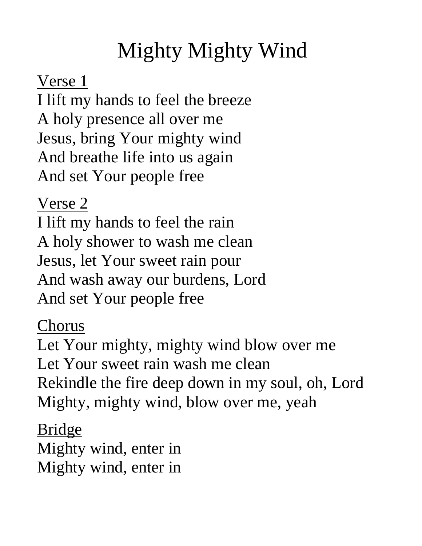# Mighty Mighty Wind

Verse 1

I lift my hands to feel the breeze A holy presence all over me Jesus, bring Your mighty wind And breathe life into us again And set Your people free

Verse 2

I lift my hands to feel the rain A holy shower to wash me clean Jesus, let Your sweet rain pour And wash away our burdens, Lord And set Your people free

Chorus

Let Your mighty, mighty wind blow over me Let Your sweet rain wash me clean Rekindle the fire deep down in my soul, oh, Lord Mighty, mighty wind, blow over me, yeah

Bridge Mighty wind, enter in Mighty wind, enter in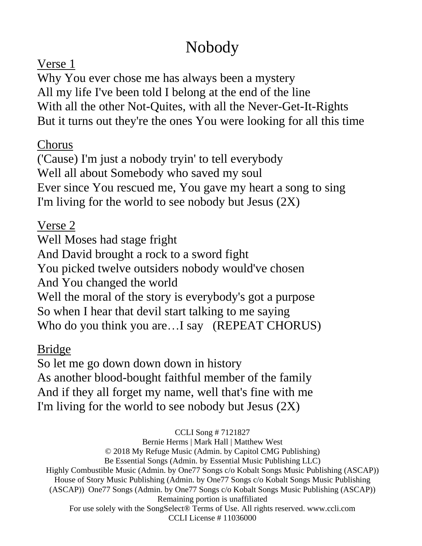# Nobody

## Verse 1

Why You ever chose me has always been a mystery All my life I've been told I belong at the end of the line With all the other Not-Quites, with all the Never-Get-It-Rights But it turns out they're the ones You were looking for all this time

## Chorus

('Cause) I'm just a nobody tryin' to tell everybody Well all about Somebody who saved my soul Ever since You rescued me, You gave my heart a song to sing I'm living for the world to see nobody but Jesus  $(2X)$ 

## Verse 2

Well Moses had stage fright And David brought a rock to a sword fight You picked twelve outsiders nobody would've chosen And You changed the world Well the moral of the story is everybody's got a purpose So when I hear that devil start talking to me saying Who do you think you are...I say (REPEAT CHORUS)

## Bridge

So let me go down down down in history As another blood-bought faithful member of the family And if they all forget my name, well that's fine with me I'm living for the world to see nobody but Jesus (2X)

CCLI Song # 7121827

Bernie Herms | Mark Hall | Matthew West © 2018 My Refuge Music (Admin. by Capitol CMG Publishing) Be Essential Songs (Admin. by Essential Music Publishing LLC) Highly Combustible Music (Admin. by One77 Songs c/o Kobalt Songs Music Publishing (ASCAP)) House of Story Music Publishing (Admin. by One77 Songs c/o Kobalt Songs Music Publishing (ASCAP)) One77 Songs (Admin. by One77 Songs c/o Kobalt Songs Music Publishing (ASCAP)) Remaining portion is unaffiliated For use solely with the SongSelect® Terms of Use. All rights reserved. www.ccli.com CCLI License # 11036000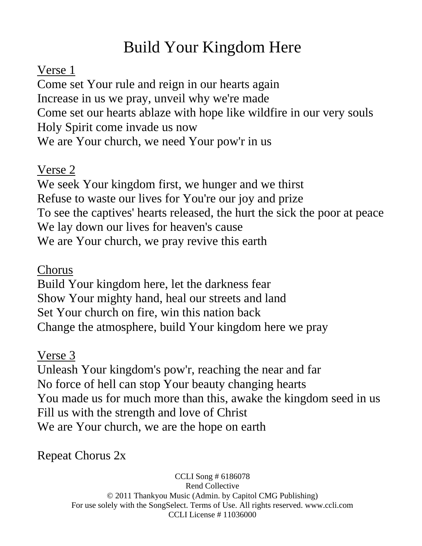# Build Your Kingdom Here

## Verse 1

Come set Your rule and reign in our hearts again Increase in us we pray, unveil why we're made Come set our hearts ablaze with hope like wildfire in our very souls Holy Spirit come invade us now We are Your church, we need Your pow'r in us

## Verse 2

We seek Your kingdom first, we hunger and we thirst Refuse to waste our lives for You're our joy and prize To see the captives' hearts released, the hurt the sick the poor at peace We lay down our lives for heaven's cause We are Your church, we pray revive this earth

## Chorus

Build Your kingdom here, let the darkness fear Show Your mighty hand, heal our streets and land Set Your church on fire, win this nation back Change the atmosphere, build Your kingdom here we pray

## Verse 3

Unleash Your kingdom's pow'r, reaching the near and far No force of hell can stop Your beauty changing hearts You made us for much more than this, awake the kingdom seed in us Fill us with the strength and love of Christ We are Your church, we are the hope on earth

Repeat Chorus 2x

CCLI Song # 6186078 Rend Collective © 2011 Thankyou Music (Admin. by Capitol CMG Publishing) For use solely with the SongSelect. Terms of Use. All rights reserved. www.ccli.com CCLI License # 11036000